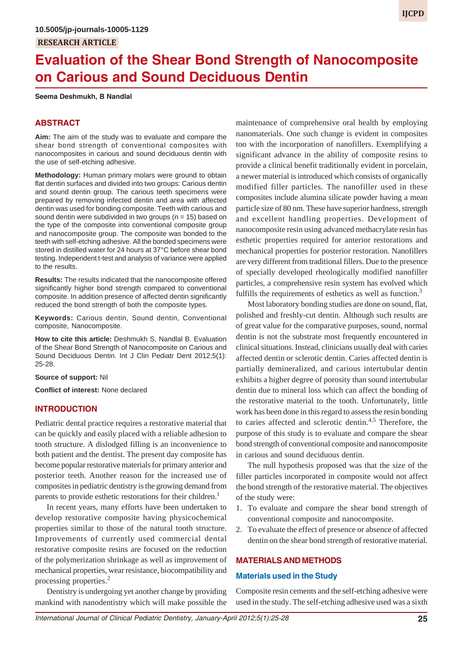# **Evaluation of the Shear Bond Strength of Nanocomposite on Carious and Sound Deciduous Dentin**

#### **Seema Deshmukh, B Nandlal**

## **ABSTRACT**

**Aim:** The aim of the study was to evaluate and compare the shear bond strength of conventional composites with nanocomposites in carious and sound deciduous dentin with the use of self-etching adhesive.

**Methodology:** Human primary molars were ground to obtain flat dentin surfaces and divided into two groups: Carious dentin and sound dentin group. The carious teeth specimens were prepared by removing infected dentin and area with affected dentin was used for bonding composite. Teeth with carious and sound dentin were subdivided in two groups ( $n = 15$ ) based on the type of the composite into conventional composite group and nanocomposite group. The composite was bonded to the teeth with self-etching adhesive. All the bonded specimens were stored in distilled water for 24 hours at 37°C before shear bond testing. Independent t-test and analysis of variance were applied to the results.

**Results:** The results indicated that the nanocomposite offered significantly higher bond strength compared to conventional composite. In addition presence of affected dentin significantly reduced the bond strength of both the composite types.

**Keywords:** Carious dentin, Sound dentin, Conventional composite, Nanocomposite.

**How to cite this article:** Deshmukh S, Nandlal B. Evaluation of the Shear Bond Strength of Nanocomposite on Carious and Sound Deciduous Dentin. Int J Clin Pediatr Dent 2012;5(1): 25-28.

**Source of support:** Nil

**Conflict of interest:** None declared

## **INTRODUCTION**

Pediatric dental practice requires a restorative material that can be quickly and easily placed with a reliable adhesion to tooth structure. A dislodged filling is an inconvenience to both patient and the dentist. The present day composite has become popular restorative materials for primary anterior and posterior teeth. Another reason for the increased use of composites in pediatric dentistry is the growing demand from parents to provide esthetic restorations for their children.<sup>1</sup>

In recent years, many efforts have been undertaken to develop restorative composite having physicochemical properties similar to those of the natural tooth structure. Improvements of currently used commercial dental restorative composite resins are focused on the reduction of the polymerization shrinkage as well as improvement of mechanical properties, wear resistance, biocompatibility and processing properties.<sup>2</sup>

Dentistry is undergoing yet another change by providing mankind with nanodentistry which will make possible the

maintenance of comprehensive oral health by employing nanomaterials. One such change is evident in composites too with the incorporation of nanofillers. Exemplifying a significant advance in the ability of composite resins to provide a clinical benefit traditionally evident in porcelain, a newer material is introduced which consists of organically modified filler particles. The nanofiller used in these composites include alumina silicate powder having a mean particle size of 80 nm. These have superior hardness, strength and excellent handling properties. Development of nanocomposite resin using advanced methacrylate resin has esthetic properties required for anterior restorations and mechanical properties for posterior restoration. Nanofillers are very different from traditional fillers. Due to the presence of specially developed rheologically modified nanofiller particles, a comprehensive resin system has evolved which fulfills the requirements of esthetics as well as function.<sup>3</sup>

Most laboratory bonding studies are done on sound, flat, polished and freshly-cut dentin. Although such results are of great value for the comparative purposes, sound, normal dentin is not the substrate most frequently encountered in clinical situations. Instead, clinicians usually deal with caries affected dentin or sclerotic dentin. Caries affected dentin is partially demineralized, and carious intertubular dentin exhibits a higher degree of porosity than sound intertubular dentin due to mineral loss which can affect the bonding of the restorative material to the tooth. Unfortunately, little work has been done in this regard to assess the resin bonding to caries affected and sclerotic dentin.<sup>4,5</sup> Therefore, the purpose of this study is to evaluate and compare the shear bond strength of conventional composite and nanocomposite in carious and sound deciduous dentin.

The null hypothesis proposed was that the size of the filler particles incorporated in composite would not affect the bond strength of the restorative material. The objectives of the study were:

- 1. To evaluate and compare the shear bond strength of conventional composite and nanocomposite.
- 2. To evaluate the effect of presence or absence of affected dentin on the shear bond strength of restorative material.

#### **MATERIALS AND METHODS**

#### **Materials used in the Study**

Composite resin cements and the self-etching adhesive were used in the study. The self-etching adhesive used was a sixth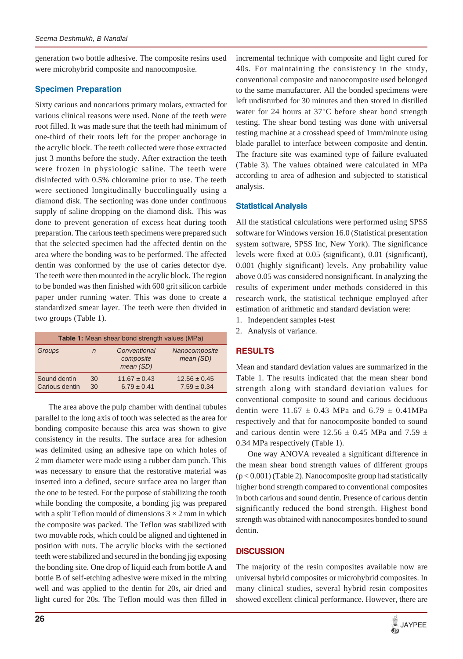generation two bottle adhesive. The composite resins used were microhybrid composite and nanocomposite.

# **Specimen Preparation**

Sixty carious and noncarious primary molars, extracted for various clinical reasons were used. None of the teeth were root filled. It was made sure that the teeth had minimum of one-third of their roots left for the proper anchorage in the acrylic block. The teeth collected were those extracted just 3 months before the study. After extraction the teeth were frozen in physiologic saline. The teeth were disinfected with 0.5% chloramine prior to use. The teeth were sectioned longitudinally buccolingually using a diamond disk. The sectioning was done under continuous supply of saline dropping on the diamond disk. This was done to prevent generation of excess heat during tooth preparation. The carious teeth specimens were prepared such that the selected specimen had the affected dentin on the area where the bonding was to be performed. The affected dentin was conformed by the use of caries detector dye. The teeth were then mounted in the acrylic block. The region to be bonded was then finished with 600 grit silicon carbide paper under running water. This was done to create a standardized smear layer. The teeth were then divided in two groups (Table 1).

| <b>Table 1:</b> Mean shear bond strength values (MPa) |          |                                        |                                     |  |  |  |
|-------------------------------------------------------|----------|----------------------------------------|-------------------------------------|--|--|--|
| Groups                                                | n        | Conventional<br>composite<br>mean (SD) | Nanocomposite<br>mean (SD)          |  |  |  |
| Sound dentin<br>Carious dentin                        | 30<br>30 | $11.67 \pm 0.43$<br>$6.79 \pm 0.41$    | $12.56 \pm 0.45$<br>$7.59 \pm 0.34$ |  |  |  |

 The area above the pulp chamber with dentinal tubules parallel to the long axis of tooth was selected as the area for bonding composite because this area was shown to give consistency in the results. The surface area for adhesion was delimited using an adhesive tape on which holes of 2 mm diameter were made using a rubber dam punch. This was necessary to ensure that the restorative material was inserted into a defined, secure surface area no larger than the one to be tested. For the purpose of stabilizing the tooth while bonding the composite, a bonding jig was prepared with a split Teflon mould of dimensions  $3 \times 2$  mm in which the composite was packed. The Teflon was stabilized with two movable rods, which could be aligned and tightened in position with nuts. The acrylic blocks with the sectioned teeth were stabilized and secured in the bonding jig exposing the bonding site. One drop of liquid each from bottle A and bottle B of self-etching adhesive were mixed in the mixing well and was applied to the dentin for 20s, air dried and light cured for 20s. The Teflon mould was then filled in

incremental technique with composite and light cured for 40s. For maintaining the consistency in the study, conventional composite and nanocomposite used belonged to the same manufacturer. All the bonded specimens were left undisturbed for 30 minutes and then stored in distilled water for 24 hours at 37°C before shear bond strength testing. The shear bond testing was done with universal testing machine at a crosshead speed of 1mm/minute using blade parallel to interface between composite and dentin. The fracture site was examined type of failure evaluated (Table 3). The values obtained were calculated in MPa according to area of adhesion and subjected to statistical analysis.

## **Statistical Analysis**

All the statistical calculations were performed using SPSS software for Windows version 16.0 (Statistical presentation system software, SPSS Inc, New York). The significance levels were fixed at 0.05 (significant), 0.01 (significant), 0.001 (highly significant) levels. Any probability value above 0.05 was considered nonsignificant. In analyzing the results of experiment under methods considered in this research work, the statistical technique employed after estimation of arithmetic and standard deviation were:

- 1. Independent samples t-test
- 2. Analysis of variance.

# **RESULTS**

Mean and standard deviation values are summarized in the Table 1. The results indicated that the mean shear bond strength along with standard deviation values for conventional composite to sound and carious deciduous dentin were  $11.67 \pm 0.43$  MPa and  $6.79 \pm 0.41$ MPa respectively and that for nanocomposite bonded to sound and carious dentin were  $12.56 \pm 0.45$  MPa and 7.59  $\pm$ 0.34 MPa respectively (Table 1).

One way ANOVA revealed a significant difference in the mean shear bond strength values of different groups  $(p < 0.001)$  (Table 2). Nanocomposite group had statistically higher bond strength compared to conventional composites in both carious and sound dentin. Presence of carious dentin significantly reduced the bond strength. Highest bond strength was obtained with nanocomposites bonded to sound dentin.

# **DISCUSSION**

The majority of the resin composites available now are universal hybrid composites or microhybrid composites. In many clinical studies, several hybrid resin composites showed excellent clinical performance. However, there are

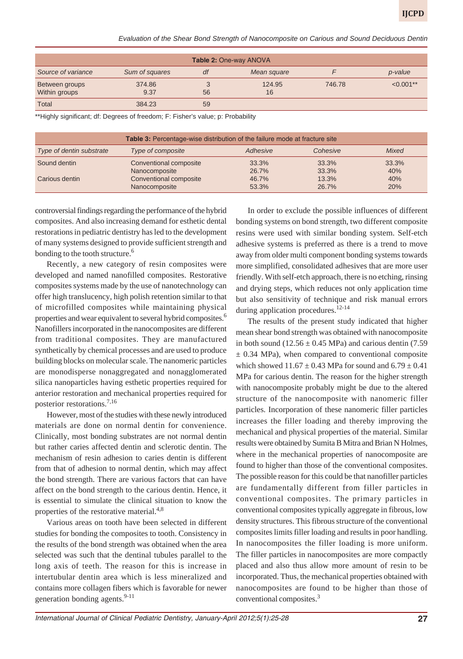*Evaluation of the Shear Bond Strength of Nanocomposite on Carious and Sound Deciduous Dentin*

| <b>Table 2: One-way ANOVA</b> |                |    |             |        |             |  |  |
|-------------------------------|----------------|----|-------------|--------|-------------|--|--|
| Source of variance            | Sum of squares | df | Mean square |        | p-value     |  |  |
| Between groups                | 374.86         |    | 124.95      | 746.78 | $< 0.001**$ |  |  |
| Within groups                 | 9.37           | 56 | 16          |        |             |  |  |
| <b>Total</b>                  | 384.23         | 59 |             |        |             |  |  |

\*\*Highly significant; df: Degrees of freedom; F: Fisher's value; p: Probability

| <b>Table 3:</b> Percentage-wise distribution of the failure mode at fracture site |                        |          |          |       |  |  |
|-----------------------------------------------------------------------------------|------------------------|----------|----------|-------|--|--|
| Type of dentin substrate                                                          | Type of composite      | Adhesive | Cohesive | Mixed |  |  |
| Sound dentin                                                                      | Conventional composite | 33.3%    | 33.3%    | 33.3% |  |  |
|                                                                                   | Nanocomposite          | 26.7%    | 33.3%    | 40%   |  |  |
| Carious dentin                                                                    | Conventional composite | 46.7%    | 13.3%    | 40%   |  |  |
|                                                                                   | Nanocomposite          | 53.3%    | 26.7%    | 20%   |  |  |

controversial findings regarding the performance of the hybrid composites. And also increasing demand for esthetic dental restorations in pediatric dentistry has led to the development of many systems designed to provide sufficient strength and bonding to the tooth structure.<sup>6</sup>

Recently, a new category of resin composites were developed and named nanofilled composites. Restorative composites systems made by the use of nanotechnology can offer high translucency, high polish retention similar to that of microfilled composites while maintaining physical properties and wear equivalent to several hybrid composites.<sup>6</sup> Nanofillers incorporated in the nanocomposites are different from traditional composites. They are manufactured synthetically by chemical processes and are used to produce building blocks on molecular scale. The nanomeric particles are monodisperse nonaggregated and nonagglomerated silica nanoparticles having esthetic properties required for anterior restoration and mechanical properties required for posterior restorations.7,16

However, most of the studies with these newly introduced materials are done on normal dentin for convenience. Clinically, most bonding substrates are not normal dentin but rather caries affected dentin and sclerotic dentin. The mechanism of resin adhesion to caries dentin is different from that of adhesion to normal dentin, which may affect the bond strength. There are various factors that can have affect on the bond strength to the carious dentin. Hence, it is essential to simulate the clinical situation to know the properties of the restorative material.<sup>4,8</sup>

Various areas on tooth have been selected in different studies for bonding the composites to tooth. Consistency in the results of the bond strength was obtained when the area selected was such that the dentinal tubules parallel to the long axis of teeth. The reason for this is increase in intertubular dentin area which is less mineralized and contains more collagen fibers which is favorable for newer generation bonding agents. $9-11$ 

In order to exclude the possible influences of different bonding systems on bond strength, two different composite resins were used with similar bonding system. Self-etch adhesive systems is preferred as there is a trend to move away from older multi component bonding systems towards more simplified, consolidated adhesives that are more user friendly. With self-etch approach, there is no etching, rinsing and drying steps, which reduces not only application time but also sensitivity of technique and risk manual errors during application procedures. $12-14$ 

The results of the present study indicated that higher mean shear bond strength was obtained with nanocomposite in both sound  $(12.56 \pm 0.45 \text{ MPa})$  and carious dentin  $(7.59$  $\pm$  0.34 MPa), when compared to conventional composite which showed  $11.67 \pm 0.43$  MPa for sound and  $6.79 \pm 0.41$ MPa for carious dentin. The reason for the higher strength with nanocomposite probably might be due to the altered structure of the nanocomposite with nanomeric filler particles. Incorporation of these nanomeric filler particles increases the filler loading and thereby improving the mechanical and physical properties of the material. Similar results were obtained by Sumita B Mitra and Brian N Holmes, where in the mechanical properties of nanocomposite are found to higher than those of the conventional composites. The possible reason for this could be that nanofiller particles are fundamentally different from filler particles in conventional composites. The primary particles in conventional composites typically aggregate in fibrous, low density structures. This fibrous structure of the conventional composites limits filler loading and results in poor handling. In nanocomposites the filler loading is more uniform. The filler particles in nanocomposites are more compactly placed and also thus allow more amount of resin to be incorporated. Thus, the mechanical properties obtained with nanocomposites are found to be higher than those of conventional composites.3